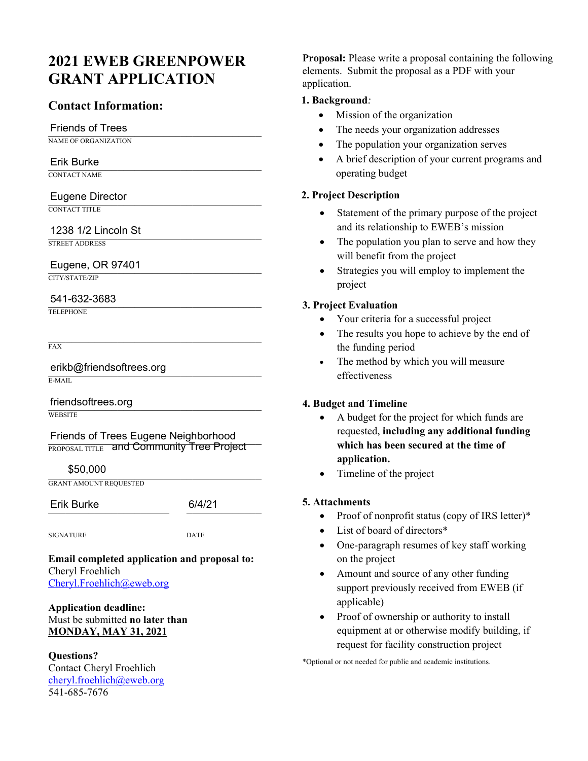# **2021 EWEB GREENPOWER GRANT APPLICATION**

# **Contact Information:**

# **Friends of Trees**

NAME OF ORGANIZATION

# \_\_\_\_\_\_\_\_\_\_\_\_\_\_\_\_\_\_\_\_\_\_\_\_\_\_\_\_\_\_\_\_\_\_\_\_\_ Erik Burke

CONTACT NAME

# \_\_\_\_\_\_\_\_\_\_\_\_\_\_\_\_\_\_\_\_\_\_\_\_\_\_\_\_\_\_\_\_\_\_\_\_\_ Eugene Director

CONTACT TITLE

# \_\_\_\_\_\_\_\_\_\_\_\_\_\_\_\_\_\_\_\_\_\_\_\_\_\_\_\_\_\_\_\_\_\_\_\_\_ 1238 1/2 Lincoln St

STREET ADDRESS

# Eugene, OR 97401

CITY/STATE/ZIP

# \_\_\_\_\_\_\_\_\_\_\_\_\_\_\_\_\_\_\_\_\_\_\_\_\_\_\_\_\_\_\_\_\_\_\_\_\_ 541-632-3683

TELEPHONE

FAX

erikb@friendsoftrees.org E-MAIL

friendsoftrees.org **WEBSITE** 

Friends of Trees Eugene Neighborhood  $\overline{\text{propos}}$   $\Lambda$   $\overline{\text{m}}$  and Community Tree Project

 $$50,000$ \$50,000

GRANT AMOUNT REQUESTED

Erik Burke 6/4/21

SIGNATURE DATE

**Email completed application and proposal to:** Cheryl Froehlich Cheryl.Froehlich@eweb.org

## **Application deadline:**  Must be submitted **no later than MONDAY, MAY 31, 2021**

**Questions?**  Contact Cheryl Froehlich cheryl.froehlich@eweb.org 541-685-7676

**Proposal:** Please write a proposal containing the following elements. Submit the proposal as a PDF with your application.

## **1. Background***:*

- Mission of the organization
- The needs your organization addresses
- The population your organization serves
- A brief description of your current programs and operating budget

## **2. Project Description**

- Statement of the primary purpose of the project and its relationship to EWEB's mission
- The population you plan to serve and how they will benefit from the project
- Strategies you will employ to implement the project

## **3. Project Evaluation**

- Your criteria for a successful project
- The results you hope to achieve by the end of the funding period
- The method by which you will measure effectiveness

## **4. Budget and Timeline**

- A budget for the project for which funds are requested, **including any additional funding which has been secured at the time of application.**
- Timeline of the project

## **5. Attachments**

- Proof of nonprofit status (copy of IRS letter)\*
- List of board of directors\*
- One-paragraph resumes of key staff working on the project
- Amount and source of any other funding support previously received from EWEB (if applicable)
- Proof of ownership or authority to install equipment at or otherwise modify building, if request for facility construction project

\*Optional or not needed for public and academic institutions.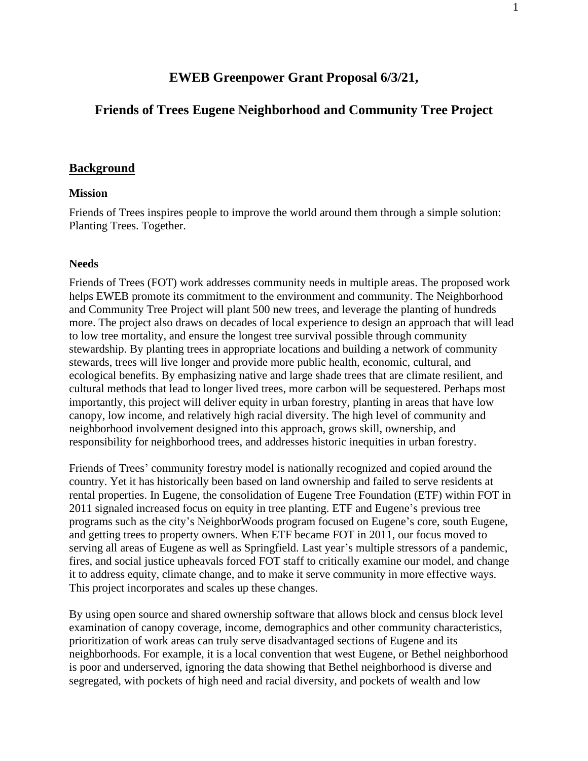# **EWEB Greenpower Grant Proposal 6/3/21,**

## **Friends of Trees Eugene Neighborhood and Community Tree Project**

#### **Background**

#### **Mission**

Friends of Trees inspires people to improve the world around them through a simple solution: Planting Trees. Together.

#### **Needs**

Friends of Trees (FOT) work addresses community needs in multiple areas. The proposed work helps EWEB promote its commitment to the environment and community. The Neighborhood and Community Tree Project will plant 500 new trees, and leverage the planting of hundreds more. The project also draws on decades of local experience to design an approach that will lead to low tree mortality, and ensure the longest tree survival possible through community stewardship. By planting trees in appropriate locations and building a network of community stewards, trees will live longer and provide more public health, economic, cultural, and ecological benefits. By emphasizing native and large shade trees that are climate resilient, and cultural methods that lead to longer lived trees, more carbon will be sequestered. Perhaps most importantly, this project will deliver equity in urban forestry, planting in areas that have low canopy, low income, and relatively high racial diversity. The high level of community and neighborhood involvement designed into this approach, grows skill, ownership, and responsibility for neighborhood trees, and addresses historic inequities in urban forestry.

Friends of Trees' community forestry model is nationally recognized and copied around the country. Yet it has historically been based on land ownership and failed to serve residents at rental properties. In Eugene, the consolidation of Eugene Tree Foundation (ETF) within FOT in 2011 signaled increased focus on equity in tree planting. ETF and Eugene's previous tree programs such as the city's NeighborWoods program focused on Eugene's core, south Eugene, and getting trees to property owners. When ETF became FOT in 2011, our focus moved to serving all areas of Eugene as well as Springfield. Last year's multiple stressors of a pandemic, fires, and social justice upheavals forced FOT staff to critically examine our model, and change it to address equity, climate change, and to make it serve community in more effective ways. This project incorporates and scales up these changes.

By using open source and shared ownership software that allows block and census block level examination of canopy coverage, income, demographics and other community characteristics, prioritization of work areas can truly serve disadvantaged sections of Eugene and its neighborhoods. For example, it is a local convention that west Eugene, or Bethel neighborhood is poor and underserved, ignoring the data showing that Bethel neighborhood is diverse and segregated, with pockets of high need and racial diversity, and pockets of wealth and low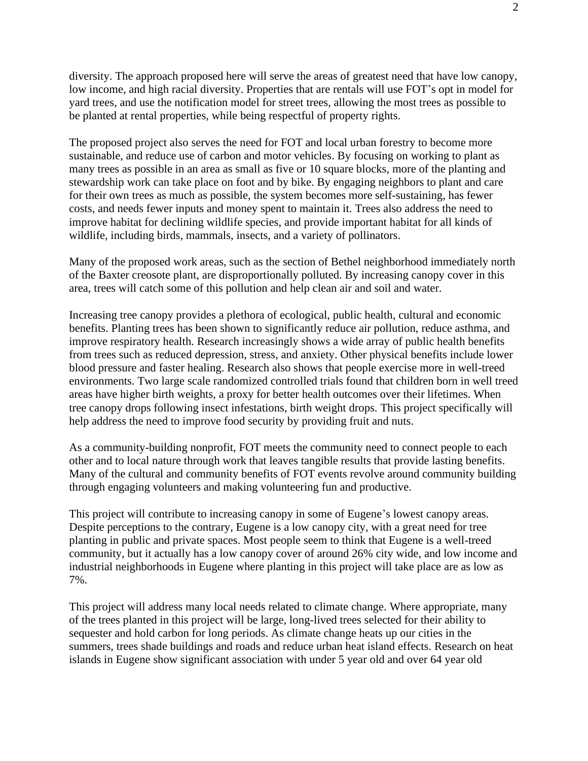diversity. The approach proposed here will serve the areas of greatest need that have low canopy, low income, and high racial diversity. Properties that are rentals will use FOT's opt in model for yard trees, and use the notification model for street trees, allowing the most trees as possible to be planted at rental properties, while being respectful of property rights.

The proposed project also serves the need for FOT and local urban forestry to become more sustainable, and reduce use of carbon and motor vehicles. By focusing on working to plant as many trees as possible in an area as small as five or 10 square blocks, more of the planting and stewardship work can take place on foot and by bike. By engaging neighbors to plant and care for their own trees as much as possible, the system becomes more self-sustaining, has fewer costs, and needs fewer inputs and money spent to maintain it. Trees also address the need to improve habitat for declining wildlife species, and provide important habitat for all kinds of wildlife, including birds, mammals, insects, and a variety of pollinators.

Many of the proposed work areas, such as the section of Bethel neighborhood immediately north of the Baxter creosote plant, are disproportionally polluted. By increasing canopy cover in this area, trees will catch some of this pollution and help clean air and soil and water.

Increasing tree canopy provides a plethora of ecological, public health, cultural and economic benefits. Planting trees has been shown to significantly reduce air pollution, reduce asthma, and improve respiratory health. Research increasingly shows a wide array of public health benefits from trees such as reduced depression, stress, and anxiety. Other physical benefits include lower blood pressure and faster healing. Research also shows that people exercise more in well-treed environments. Two large scale randomized controlled trials found that children born in well treed areas have higher birth weights, a proxy for better health outcomes over their lifetimes. When tree canopy drops following insect infestations, birth weight drops. This project specifically will help address the need to improve food security by providing fruit and nuts.

As a community-building nonprofit, FOT meets the community need to connect people to each other and to local nature through work that leaves tangible results that provide lasting benefits. Many of the cultural and community benefits of FOT events revolve around community building through engaging volunteers and making volunteering fun and productive.

This project will contribute to increasing canopy in some of Eugene's lowest canopy areas. Despite perceptions to the contrary, Eugene is a low canopy city, with a great need for tree planting in public and private spaces. Most people seem to think that Eugene is a well-treed community, but it actually has a low canopy cover of around 26% city wide, and low income and industrial neighborhoods in Eugene where planting in this project will take place are as low as 7%.

This project will address many local needs related to climate change. Where appropriate, many of the trees planted in this project will be large, long-lived trees selected for their ability to sequester and hold carbon for long periods. As climate change heats up our cities in the summers, trees shade buildings and roads and reduce urban heat island effects. Research on heat islands in Eugene show significant association with under 5 year old and over 64 year old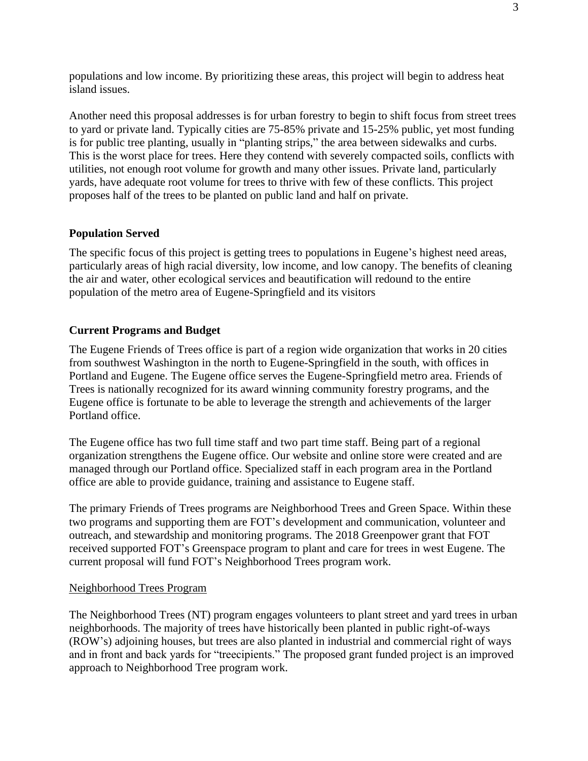populations and low income. By prioritizing these areas, this project will begin to address heat island issues.

Another need this proposal addresses is for urban forestry to begin to shift focus from street trees to yard or private land. Typically cities are 75-85% private and 15-25% public, yet most funding is for public tree planting, usually in "planting strips," the area between sidewalks and curbs. This is the worst place for trees. Here they contend with severely compacted soils, conflicts with utilities, not enough root volume for growth and many other issues. Private land, particularly yards, have adequate root volume for trees to thrive with few of these conflicts. This project proposes half of the trees to be planted on public land and half on private.

### **Population Served**

The specific focus of this project is getting trees to populations in Eugene's highest need areas, particularly areas of high racial diversity, low income, and low canopy. The benefits of cleaning the air and water, other ecological services and beautification will redound to the entire population of the metro area of Eugene-Springfield and its visitors

#### **Current Programs and Budget**

The Eugene Friends of Trees office is part of a region wide organization that works in 20 cities from southwest Washington in the north to Eugene-Springfield in the south, with offices in Portland and Eugene. The Eugene office serves the Eugene-Springfield metro area. Friends of Trees is nationally recognized for its award winning community forestry programs, and the Eugene office is fortunate to be able to leverage the strength and achievements of the larger Portland office.

The Eugene office has two full time staff and two part time staff. Being part of a regional organization strengthens the Eugene office. Our website and online store were created and are managed through our Portland office. Specialized staff in each program area in the Portland office are able to provide guidance, training and assistance to Eugene staff.

The primary Friends of Trees programs are Neighborhood Trees and Green Space. Within these two programs and supporting them are FOT's development and communication, volunteer and outreach, and stewardship and monitoring programs. The 2018 Greenpower grant that FOT received supported FOT's Greenspace program to plant and care for trees in west Eugene. The current proposal will fund FOT's Neighborhood Trees program work.

#### Neighborhood Trees Program

The Neighborhood Trees (NT) program engages volunteers to plant street and yard trees in urban neighborhoods. The majority of trees have historically been planted in public right-of-ways (ROW's) adjoining houses, but trees are also planted in industrial and commercial right of ways and in front and back yards for "treecipients." The proposed grant funded project is an improved approach to Neighborhood Tree program work.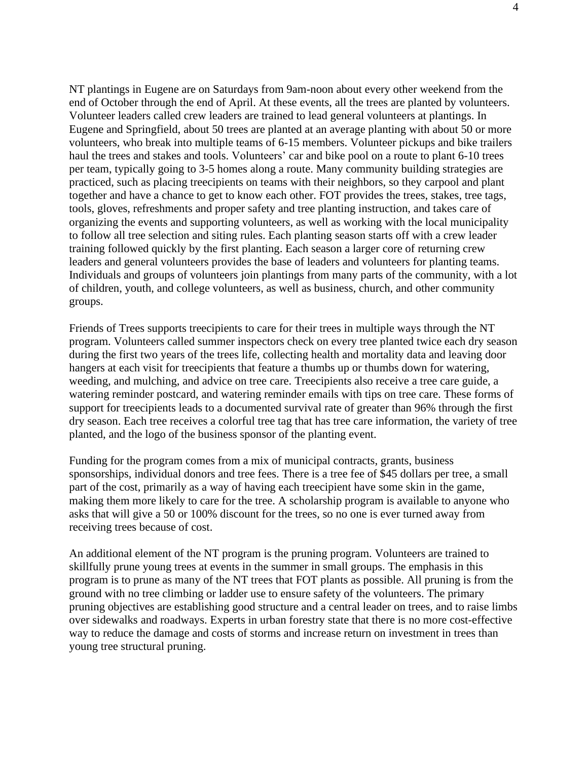NT plantings in Eugene are on Saturdays from 9am-noon about every other weekend from the end of October through the end of April. At these events, all the trees are planted by volunteers. Volunteer leaders called crew leaders are trained to lead general volunteers at plantings. In Eugene and Springfield, about 50 trees are planted at an average planting with about 50 or more volunteers, who break into multiple teams of 6-15 members. Volunteer pickups and bike trailers haul the trees and stakes and tools. Volunteers' car and bike pool on a route to plant 6-10 trees per team, typically going to 3-5 homes along a route. Many community building strategies are practiced, such as placing treecipients on teams with their neighbors, so they carpool and plant together and have a chance to get to know each other. FOT provides the trees, stakes, tree tags, tools, gloves, refreshments and proper safety and tree planting instruction, and takes care of organizing the events and supporting volunteers, as well as working with the local municipality to follow all tree selection and siting rules. Each planting season starts off with a crew leader training followed quickly by the first planting. Each season a larger core of returning crew leaders and general volunteers provides the base of leaders and volunteers for planting teams. Individuals and groups of volunteers join plantings from many parts of the community, with a lot of children, youth, and college volunteers, as well as business, church, and other community groups.

Friends of Trees supports treecipients to care for their trees in multiple ways through the NT program. Volunteers called summer inspectors check on every tree planted twice each dry season during the first two years of the trees life, collecting health and mortality data and leaving door hangers at each visit for treecipients that feature a thumbs up or thumbs down for watering, weeding, and mulching, and advice on tree care. Treecipients also receive a tree care guide, a watering reminder postcard, and watering reminder emails with tips on tree care. These forms of support for treecipients leads to a documented survival rate of greater than 96% through the first dry season. Each tree receives a colorful tree tag that has tree care information, the variety of tree planted, and the logo of the business sponsor of the planting event.

Funding for the program comes from a mix of municipal contracts, grants, business sponsorships, individual donors and tree fees. There is a tree fee of \$45 dollars per tree, a small part of the cost, primarily as a way of having each treecipient have some skin in the game, making them more likely to care for the tree. A scholarship program is available to anyone who asks that will give a 50 or 100% discount for the trees, so no one is ever turned away from receiving trees because of cost.

An additional element of the NT program is the pruning program. Volunteers are trained to skillfully prune young trees at events in the summer in small groups. The emphasis in this program is to prune as many of the NT trees that FOT plants as possible. All pruning is from the ground with no tree climbing or ladder use to ensure safety of the volunteers. The primary pruning objectives are establishing good structure and a central leader on trees, and to raise limbs over sidewalks and roadways. Experts in urban forestry state that there is no more cost-effective way to reduce the damage and costs of storms and increase return on investment in trees than young tree structural pruning.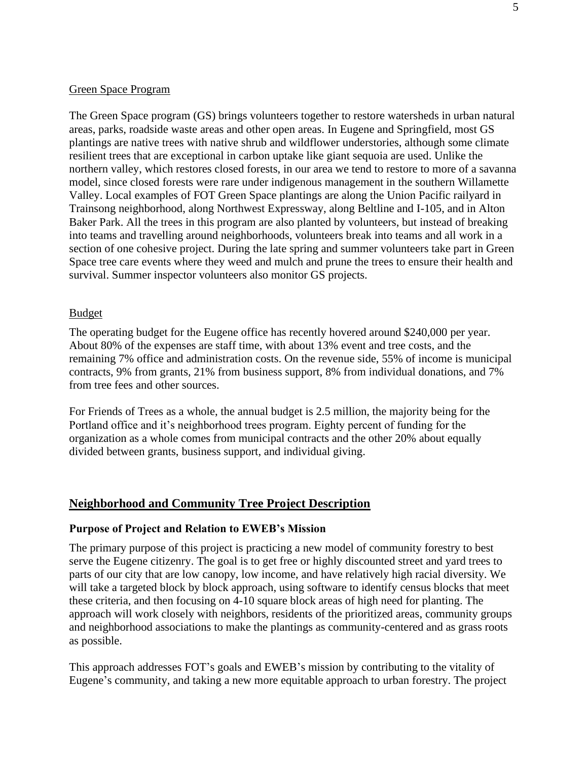### Green Space Program

The Green Space program (GS) brings volunteers together to restore watersheds in urban natural areas, parks, roadside waste areas and other open areas. In Eugene and Springfield, most GS plantings are native trees with native shrub and wildflower understories, although some climate resilient trees that are exceptional in carbon uptake like giant sequoia are used. Unlike the northern valley, which restores closed forests, in our area we tend to restore to more of a savanna model, since closed forests were rare under indigenous management in the southern Willamette Valley. Local examples of FOT Green Space plantings are along the Union Pacific railyard in Trainsong neighborhood, along Northwest Expressway, along Beltline and I-105, and in Alton Baker Park. All the trees in this program are also planted by volunteers, but instead of breaking into teams and travelling around neighborhoods, volunteers break into teams and all work in a section of one cohesive project. During the late spring and summer volunteers take part in Green Space tree care events where they weed and mulch and prune the trees to ensure their health and survival. Summer inspector volunteers also monitor GS projects.

#### Budget

The operating budget for the Eugene office has recently hovered around \$240,000 per year. About 80% of the expenses are staff time, with about 13% event and tree costs, and the remaining 7% office and administration costs. On the revenue side, 55% of income is municipal contracts, 9% from grants, 21% from business support, 8% from individual donations, and 7% from tree fees and other sources.

For Friends of Trees as a whole, the annual budget is 2.5 million, the majority being for the Portland office and it's neighborhood trees program. Eighty percent of funding for the organization as a whole comes from municipal contracts and the other 20% about equally divided between grants, business support, and individual giving.

## **Neighborhood and Community Tree Project Description**

#### **Purpose of Project and Relation to EWEB's Mission**

The primary purpose of this project is practicing a new model of community forestry to best serve the Eugene citizenry. The goal is to get free or highly discounted street and yard trees to parts of our city that are low canopy, low income, and have relatively high racial diversity. We will take a targeted block by block approach, using software to identify census blocks that meet these criteria, and then focusing on 4-10 square block areas of high need for planting. The approach will work closely with neighbors, residents of the prioritized areas, community groups and neighborhood associations to make the plantings as community-centered and as grass roots as possible.

This approach addresses FOT's goals and EWEB's mission by contributing to the vitality of Eugene's community, and taking a new more equitable approach to urban forestry. The project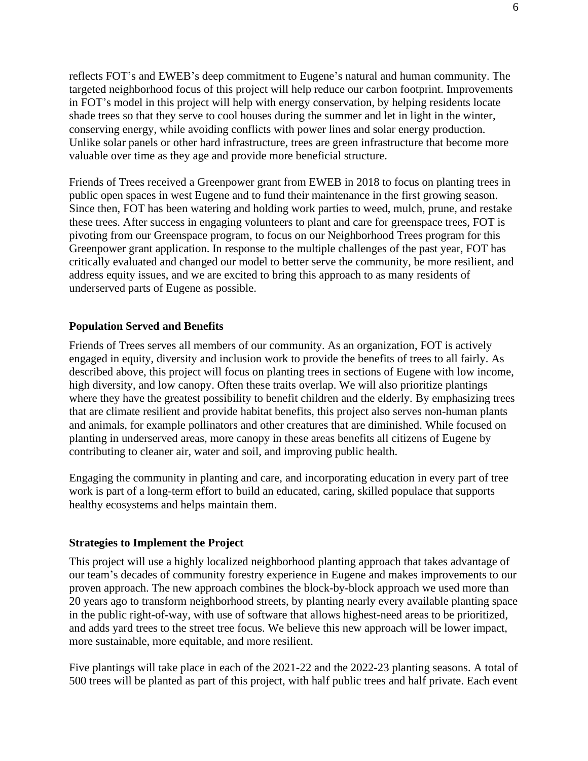reflects FOT's and EWEB's deep commitment to Eugene's natural and human community. The targeted neighborhood focus of this project will help reduce our carbon footprint. Improvements in FOT's model in this project will help with energy conservation, by helping residents locate shade trees so that they serve to cool houses during the summer and let in light in the winter, conserving energy, while avoiding conflicts with power lines and solar energy production. Unlike solar panels or other hard infrastructure, trees are green infrastructure that become more valuable over time as they age and provide more beneficial structure.

Friends of Trees received a Greenpower grant from EWEB in 2018 to focus on planting trees in public open spaces in west Eugene and to fund their maintenance in the first growing season. Since then, FOT has been watering and holding work parties to weed, mulch, prune, and restake these trees. After success in engaging volunteers to plant and care for greenspace trees, FOT is pivoting from our Greenspace program, to focus on our Neighborhood Trees program for this Greenpower grant application. In response to the multiple challenges of the past year, FOT has critically evaluated and changed our model to better serve the community, be more resilient, and address equity issues, and we are excited to bring this approach to as many residents of underserved parts of Eugene as possible.

### **Population Served and Benefits**

Friends of Trees serves all members of our community. As an organization, FOT is actively engaged in equity, diversity and inclusion work to provide the benefits of trees to all fairly. As described above, this project will focus on planting trees in sections of Eugene with low income, high diversity, and low canopy. Often these traits overlap. We will also prioritize plantings where they have the greatest possibility to benefit children and the elderly. By emphasizing trees that are climate resilient and provide habitat benefits, this project also serves non-human plants and animals, for example pollinators and other creatures that are diminished. While focused on planting in underserved areas, more canopy in these areas benefits all citizens of Eugene by contributing to cleaner air, water and soil, and improving public health.

Engaging the community in planting and care, and incorporating education in every part of tree work is part of a long-term effort to build an educated, caring, skilled populace that supports healthy ecosystems and helps maintain them.

#### **Strategies to Implement the Project**

This project will use a highly localized neighborhood planting approach that takes advantage of our team's decades of community forestry experience in Eugene and makes improvements to our proven approach. The new approach combines the block-by-block approach we used more than 20 years ago to transform neighborhood streets, by planting nearly every available planting space in the public right-of-way, with use of software that allows highest-need areas to be prioritized, and adds yard trees to the street tree focus. We believe this new approach will be lower impact, more sustainable, more equitable, and more resilient.

Five plantings will take place in each of the 2021-22 and the 2022-23 planting seasons. A total of 500 trees will be planted as part of this project, with half public trees and half private. Each event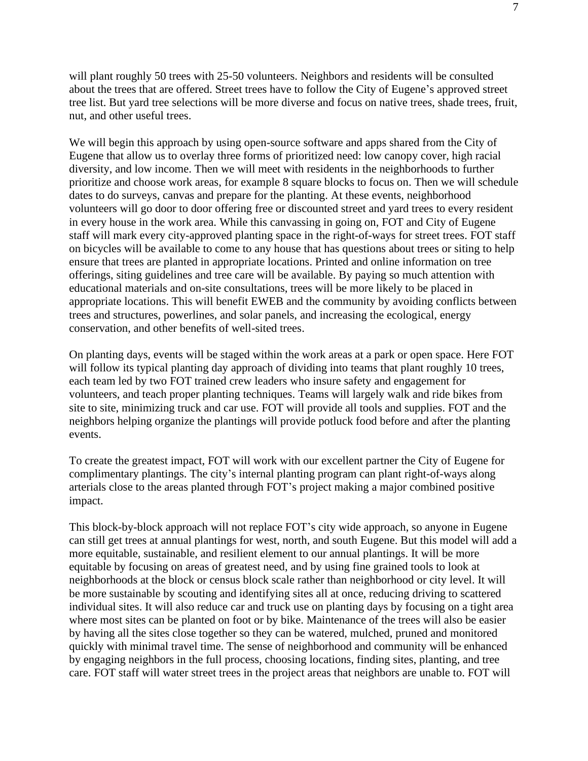will plant roughly 50 trees with 25-50 volunteers. Neighbors and residents will be consulted about the trees that are offered. Street trees have to follow the City of Eugene's approved street tree list. But yard tree selections will be more diverse and focus on native trees, shade trees, fruit, nut, and other useful trees.

We will begin this approach by using open-source software and apps shared from the City of Eugene that allow us to overlay three forms of prioritized need: low canopy cover, high racial diversity, and low income. Then we will meet with residents in the neighborhoods to further prioritize and choose work areas, for example 8 square blocks to focus on. Then we will schedule dates to do surveys, canvas and prepare for the planting. At these events, neighborhood volunteers will go door to door offering free or discounted street and yard trees to every resident in every house in the work area. While this canvassing in going on, FOT and City of Eugene staff will mark every city-approved planting space in the right-of-ways for street trees. FOT staff on bicycles will be available to come to any house that has questions about trees or siting to help ensure that trees are planted in appropriate locations. Printed and online information on tree offerings, siting guidelines and tree care will be available. By paying so much attention with educational materials and on-site consultations, trees will be more likely to be placed in appropriate locations. This will benefit EWEB and the community by avoiding conflicts between trees and structures, powerlines, and solar panels, and increasing the ecological, energy conservation, and other benefits of well-sited trees.

On planting days, events will be staged within the work areas at a park or open space. Here FOT will follow its typical planting day approach of dividing into teams that plant roughly 10 trees, each team led by two FOT trained crew leaders who insure safety and engagement for volunteers, and teach proper planting techniques. Teams will largely walk and ride bikes from site to site, minimizing truck and car use. FOT will provide all tools and supplies. FOT and the neighbors helping organize the plantings will provide potluck food before and after the planting events.

To create the greatest impact, FOT will work with our excellent partner the City of Eugene for complimentary plantings. The city's internal planting program can plant right-of-ways along arterials close to the areas planted through FOT's project making a major combined positive impact.

This block-by-block approach will not replace FOT's city wide approach, so anyone in Eugene can still get trees at annual plantings for west, north, and south Eugene. But this model will add a more equitable, sustainable, and resilient element to our annual plantings. It will be more equitable by focusing on areas of greatest need, and by using fine grained tools to look at neighborhoods at the block or census block scale rather than neighborhood or city level. It will be more sustainable by scouting and identifying sites all at once, reducing driving to scattered individual sites. It will also reduce car and truck use on planting days by focusing on a tight area where most sites can be planted on foot or by bike. Maintenance of the trees will also be easier by having all the sites close together so they can be watered, mulched, pruned and monitored quickly with minimal travel time. The sense of neighborhood and community will be enhanced by engaging neighbors in the full process, choosing locations, finding sites, planting, and tree care. FOT staff will water street trees in the project areas that neighbors are unable to. FOT will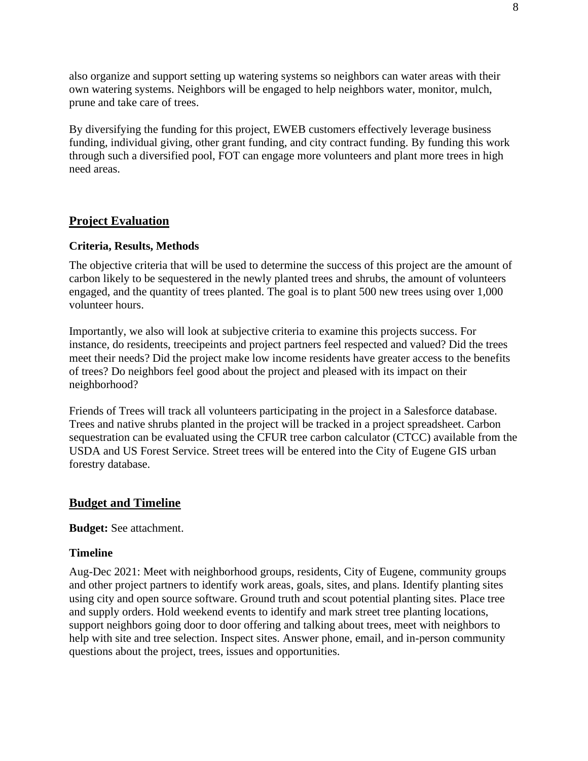also organize and support setting up watering systems so neighbors can water areas with their own watering systems. Neighbors will be engaged to help neighbors water, monitor, mulch, prune and take care of trees.

By diversifying the funding for this project, EWEB customers effectively leverage business funding, individual giving, other grant funding, and city contract funding. By funding this work through such a diversified pool, FOT can engage more volunteers and plant more trees in high need areas.

## **Project Evaluation**

#### **Criteria, Results, Methods**

The objective criteria that will be used to determine the success of this project are the amount of carbon likely to be sequestered in the newly planted trees and shrubs, the amount of volunteers engaged, and the quantity of trees planted. The goal is to plant 500 new trees using over 1,000 volunteer hours.

Importantly, we also will look at subjective criteria to examine this projects success. For instance, do residents, treecipeints and project partners feel respected and valued? Did the trees meet their needs? Did the project make low income residents have greater access to the benefits of trees? Do neighbors feel good about the project and pleased with its impact on their neighborhood?

Friends of Trees will track all volunteers participating in the project in a Salesforce database. Trees and native shrubs planted in the project will be tracked in a project spreadsheet. Carbon sequestration can be evaluated using the CFUR tree carbon calculator (CTCC) available from the USDA and US Forest Service. Street trees will be entered into the City of Eugene GIS urban forestry database.

#### **Budget and Timeline**

**Budget:** See attachment.

### **Timeline**

Aug-Dec 2021: Meet with neighborhood groups, residents, City of Eugene, community groups and other project partners to identify work areas, goals, sites, and plans. Identify planting sites using city and open source software. Ground truth and scout potential planting sites. Place tree and supply orders. Hold weekend events to identify and mark street tree planting locations, support neighbors going door to door offering and talking about trees, meet with neighbors to help with site and tree selection. Inspect sites. Answer phone, email, and in-person community questions about the project, trees, issues and opportunities.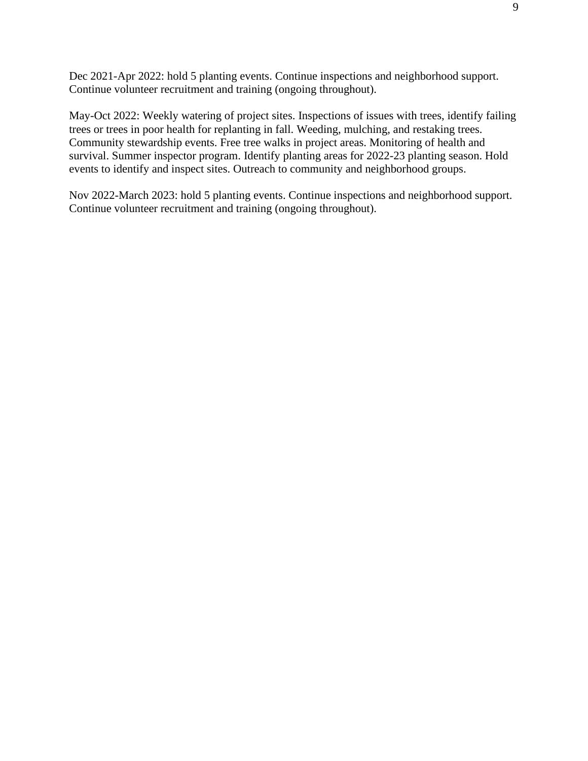Dec 2021-Apr 2022: hold 5 planting events. Continue inspections and neighborhood support. Continue volunteer recruitment and training (ongoing throughout).

May-Oct 2022: Weekly watering of project sites. Inspections of issues with trees, identify failing trees or trees in poor health for replanting in fall. Weeding, mulching, and restaking trees. Community stewardship events. Free tree walks in project areas. Monitoring of health and survival. Summer inspector program. Identify planting areas for 2022-23 planting season. Hold events to identify and inspect sites. Outreach to community and neighborhood groups.

Nov 2022-March 2023: hold 5 planting events. Continue inspections and neighborhood support. Continue volunteer recruitment and training (ongoing throughout).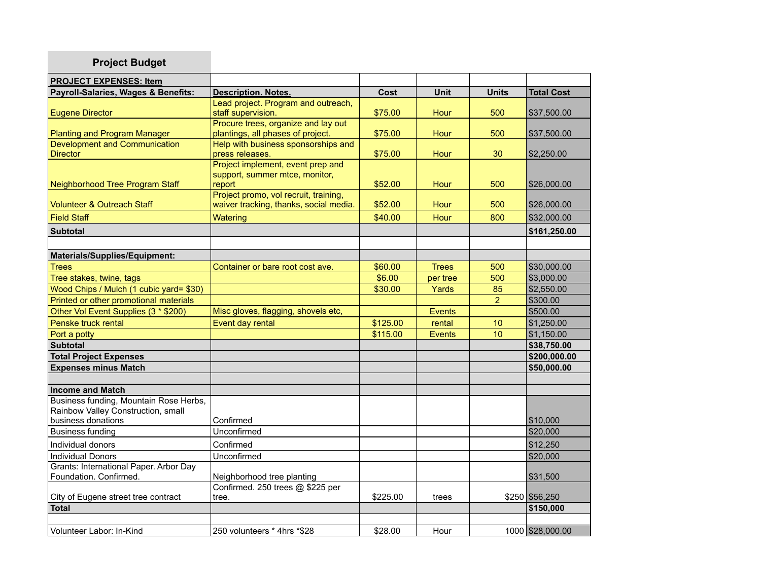| <b>Project Budget</b>                                                        |                                                                                 |          |               |                |                   |
|------------------------------------------------------------------------------|---------------------------------------------------------------------------------|----------|---------------|----------------|-------------------|
| <b>PROJECT EXPENSES: Item</b>                                                |                                                                                 |          |               |                |                   |
| Payroll-Salaries, Wages & Benefits:                                          | <b>Description. Notes.</b>                                                      | Cost     | <b>Unit</b>   | <b>Units</b>   | <b>Total Cost</b> |
| <b>Eugene Director</b>                                                       | Lead project. Program and outreach,<br>staff supervision.                       | \$75.00  | Hour          | 500            | \$37,500.00       |
| Planting and Program Manager                                                 | Procure trees, organize and lay out<br>plantings, all phases of project.        | \$75.00  | Hour          | 500            | \$37,500.00       |
| Development and Communication<br><b>Director</b>                             | Help with business sponsorships and<br>press releases.                          | \$75.00  | Hour          | 30             | \$2,250.00        |
| Neighborhood Tree Program Staff                                              | Project implement, event prep and<br>support, summer mtce, monitor,<br>report   | \$52.00  | Hour          | 500            | \$26,000.00       |
| <b>Volunteer &amp; Outreach Staff</b>                                        | Project promo, vol recruit, training,<br>waiver tracking, thanks, social media. | \$52.00  | Hour          | 500            | \$26,000.00       |
| <b>Field Staff</b>                                                           | Watering                                                                        | \$40.00  | Hour          | 800            | \$32,000.00       |
| <b>Subtotal</b>                                                              |                                                                                 |          |               |                | \$161,250.00      |
|                                                                              |                                                                                 |          |               |                |                   |
| Materials/Supplies/Equipment:                                                |                                                                                 |          |               |                |                   |
| <b>Trees</b>                                                                 | Container or bare root cost ave.                                                | \$60.00  | <b>Trees</b>  | 500            | \$30,000.00       |
| Tree stakes, twine, tags                                                     |                                                                                 | \$6.00   | per tree      | 500            | \$3,000.00        |
| Wood Chips / Mulch (1 cubic yard= \$30)                                      |                                                                                 | \$30.00  | Yards         | 85             | \$2,550.00        |
| Printed or other promotional materials                                       |                                                                                 |          |               | $\overline{2}$ | \$300.00          |
| Other Vol Event Supplies (3 * \$200)                                         | Misc gloves, flagging, shovels etc,                                             |          | <b>Events</b> |                | \$500.00          |
| Penske truck rental                                                          | Event day rental                                                                | \$125.00 | rental        | 10             | \$1,250.00        |
| Port a potty                                                                 |                                                                                 | \$115.00 | <b>Events</b> | 10             | \$1,150.00        |
| <b>Subtotal</b>                                                              |                                                                                 |          |               |                | \$38,750.00       |
| <b>Total Project Expenses</b>                                                |                                                                                 |          |               |                | \$200,000.00      |
| <b>Expenses minus Match</b>                                                  |                                                                                 |          |               |                | \$50,000.00       |
|                                                                              |                                                                                 |          |               |                |                   |
| <b>Income and Match</b>                                                      |                                                                                 |          |               |                |                   |
| Business funding, Mountain Rose Herbs,<br>Rainbow Valley Construction, small |                                                                                 |          |               |                |                   |
| business donations                                                           | Confirmed                                                                       |          |               |                | \$10,000          |
| <b>Business funding</b>                                                      | Unconfirmed                                                                     |          |               |                | \$20,000          |
| Individual donors                                                            | Confirmed                                                                       |          |               |                | \$12,250          |
| <b>Individual Donors</b>                                                     | Unconfirmed                                                                     |          |               |                | \$20,000          |
| Grants: International Paper. Arbor Day<br>Foundation. Confirmed.             | Neighborhood tree planting                                                      |          |               |                | \$31,500          |
| City of Eugene street tree contract                                          | Confirmed. 250 trees @ \$225 per<br>tree.                                       | \$225.00 | trees         |                | \$250 \$56,250    |
| <b>Total</b>                                                                 |                                                                                 |          |               |                | \$150,000         |
|                                                                              |                                                                                 |          |               |                |                   |
| Volunteer Labor: In-Kind                                                     | 250 volunteers * 4hrs *\$28                                                     | \$28.00  | Hour          |                | 1000 \$28,000,00  |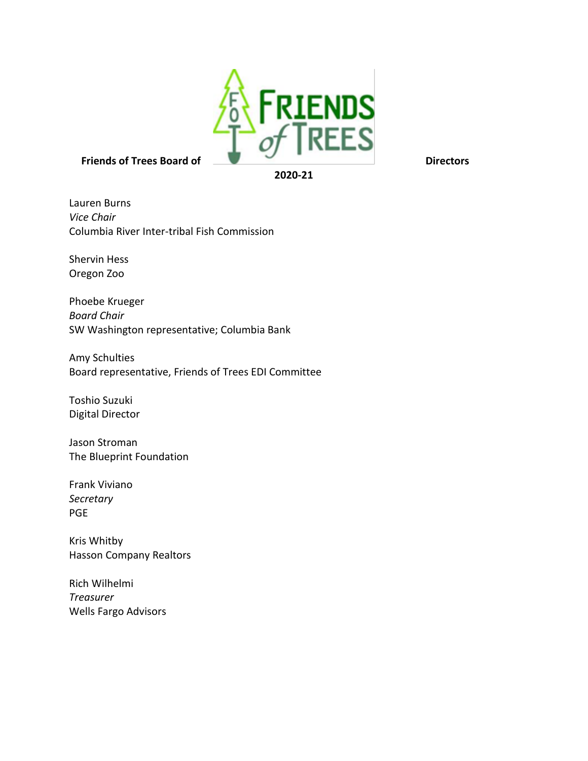

Lauren Burns *Vice Chair* Columbia River Inter-tribal Fish Commission

Shervin Hess Oregon Zoo

Phoebe Krueger *Board Chair* SW Washington representative; Columbia Bank

Amy Schulties Board representative, Friends of Trees EDI Committee

Toshio Suzuki Digital Director

Jason Stroman The Blueprint Foundation

Frank Viviano *Secretary* PGE

Kris Whitby Hasson Company Realtors

Rich Wilhelmi *Treasurer* Wells Fargo Advisors